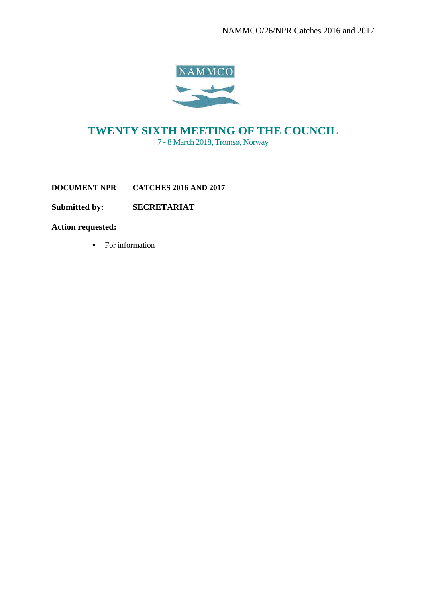

# **TWENTY SIXTH MEETING OF THE COUNCIL** 7 - 8 March 2018, Tromsø, Norway

**DOCUMENT NPR CATCHES 2016 AND 2017** 

**Submitted by: SECRETARIAT**

**Action requested:**

■ For information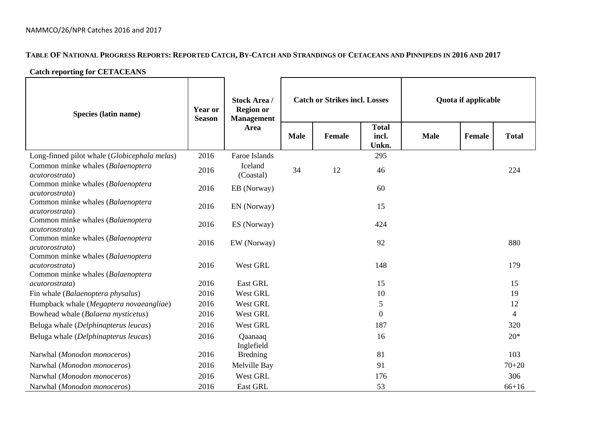## TABLE OF NATIONAL PROGRESS REPORTS: REPORTED CATCH, BY-CATCH AND STRANDINGS OF CETACEANS AND PINNIPEDS IN 2016 AND 2017

### **Catch reporting for CETACEANS**

| Species (latin name)                                                                     | <b>Year or</b><br><b>Season</b> | <b>Stock Area /</b><br><b>Region or</b><br><b>Management</b> |                       | <b>Catch or Strikes incl. Losses</b> | Quota if applicable            |             |        |              |
|------------------------------------------------------------------------------------------|---------------------------------|--------------------------------------------------------------|-----------------------|--------------------------------------|--------------------------------|-------------|--------|--------------|
|                                                                                          |                                 | Area                                                         | <b>Male</b><br>Female |                                      | <b>Total</b><br>incl.<br>Unkn. | <b>Male</b> | Female | <b>Total</b> |
| Long-finned pilot whale (Globicephala melas)                                             | 2016                            | Faroe Islands                                                |                       |                                      | 295                            |             |        |              |
| Common minke whales (Balaenoptera<br>acutorostrata)                                      | 2016                            | Iceland<br>(Coastal)                                         | 34                    | 12                                   | 46                             |             |        | 224          |
| Common minke whales (Balaenoptera<br>acutorostrata)                                      | 2016                            | EB (Norway)                                                  |                       |                                      | 60                             |             |        |              |
| Common minke whales (Balaenoptera<br><i>acutorostrata</i> )                              | 2016                            | EN (Norway)                                                  |                       |                                      | 15                             |             |        |              |
| Common minke whales (Balaenoptera<br>acutorostrata)                                      | 2016                            | ES (Norway)                                                  |                       |                                      | 424                            |             |        |              |
| Common minke whales (Balaenoptera<br>acutorostrata)                                      | 2016                            | EW (Norway)                                                  |                       |                                      | 92                             |             |        | 880          |
| Common minke whales (Balaenoptera<br>acutorostrata)<br>Common minke whales (Balaenoptera | 2016                            | West GRL                                                     |                       |                                      | 148                            |             |        | 179          |
| acutorostrata)                                                                           | 2016                            | East GRL                                                     |                       |                                      | 15                             |             |        | 15           |
| Fin whale (Balaenoptera physalus)                                                        | 2016                            | West GRL                                                     |                       |                                      | 10                             |             |        | 19           |
| Humpback whale (Megaptera novaeangliae)                                                  | 2016                            | West GRL                                                     |                       |                                      | 5                              |             |        | 12           |
| Bowhead whale (Balaena mysticetus)                                                       | 2016                            | West GRL                                                     |                       |                                      | $\Omega$                       |             |        | 4            |
| Beluga whale (Delphinapterus leucas)                                                     | 2016                            | West GRL                                                     |                       |                                      | 187                            |             |        | 320          |
| Beluga whale (Delphinapterus leucas)                                                     | 2016                            | Qaanaaq<br>Inglefield                                        |                       |                                      | 16                             |             |        | $20*$        |
| Narwhal (Monodon monoceros)                                                              | 2016                            | <b>Bredning</b>                                              |                       |                                      | 81                             |             |        | 103          |
| Narwhal (Monodon monoceros)                                                              | 2016                            | Melville Bay                                                 |                       |                                      | 91                             |             |        | $70 + 20$    |
| Narwhal (Monodon monoceros)                                                              | 2016                            | West GRL                                                     |                       |                                      | 176                            |             |        | 306          |
| Narwhal (Monodon monoceros)                                                              | 2016                            | East GRL                                                     |                       |                                      | 53                             |             |        | $66 + 16$    |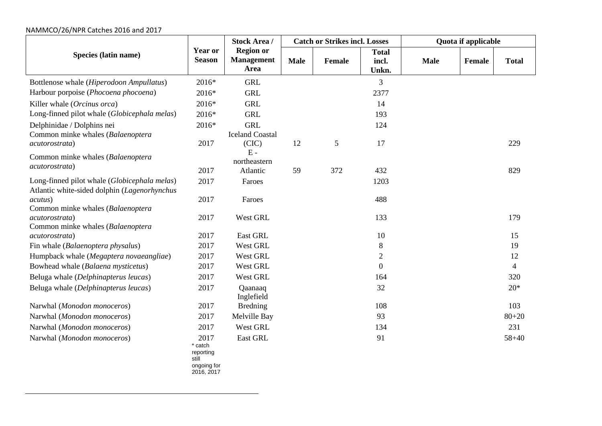### NAMMCO/26/NPR Catches 2016 and 2017

|                                                     |                                                                    | <b>Stock Area /</b>                           |             | <b>Catch or Strikes incl. Losses</b> |                                | Quota if applicable |        |                          |  |
|-----------------------------------------------------|--------------------------------------------------------------------|-----------------------------------------------|-------------|--------------------------------------|--------------------------------|---------------------|--------|--------------------------|--|
| Species (latin name)                                | <b>Year or</b><br><b>Season</b>                                    | <b>Region or</b><br><b>Management</b><br>Area | <b>Male</b> | <b>Female</b>                        | <b>Total</b><br>incl.<br>Unkn. | <b>Male</b>         | Female | <b>Total</b>             |  |
| Bottlenose whale (Hiperodoon Ampullatus)            | 2016*                                                              | <b>GRL</b>                                    |             |                                      | 3                              |                     |        |                          |  |
| Harbour porpoise (Phocoena phocoena)                | 2016*                                                              | <b>GRL</b>                                    |             |                                      | 2377                           |                     |        |                          |  |
| Killer whale (Orcinus orca)                         | 2016*                                                              | <b>GRL</b>                                    |             |                                      | 14                             |                     |        |                          |  |
| Long-finned pilot whale (Globicephala melas)        | 2016*                                                              | <b>GRL</b>                                    |             |                                      | 193                            |                     |        |                          |  |
| Delphinidae / Dolphins nei                          | 2016*                                                              | <b>GRL</b>                                    |             |                                      | 124                            |                     |        |                          |  |
| Common minke whales (Balaenoptera                   |                                                                    | <b>Iceland Coastal</b>                        |             |                                      |                                |                     |        |                          |  |
| acutorostrata)                                      | 2017                                                               | (CIC)                                         | 12          | 5                                    | 17                             |                     |        | 229                      |  |
| Common minke whales (Balaenoptera                   |                                                                    | $E -$<br>northeastern                         |             |                                      |                                |                     |        |                          |  |
| acutorostrata)                                      | 2017                                                               | Atlantic                                      | 59          | 372                                  | 432                            |                     |        | 829                      |  |
| Long-finned pilot whale (Globicephala melas)        | 2017                                                               | Faroes                                        |             |                                      | 1203                           |                     |        |                          |  |
| Atlantic white-sided dolphin (Lagenorhynchus        |                                                                    |                                               |             |                                      |                                |                     |        |                          |  |
| acutus)                                             | 2017                                                               | Faroes                                        |             |                                      | 488                            |                     |        |                          |  |
| Common minke whales (Balaenoptera                   |                                                                    |                                               |             |                                      |                                |                     |        |                          |  |
| acutorostrata)                                      | 2017                                                               | West GRL                                      |             |                                      | 133                            |                     |        | 179                      |  |
| Common minke whales (Balaenoptera<br>acutorostrata) | 2017                                                               | East GRL                                      |             |                                      | 10                             |                     |        | 15                       |  |
| Fin whale (Balaenoptera physalus)                   | 2017                                                               | West GRL                                      |             |                                      | $8\,$                          |                     |        | 19                       |  |
| Humpback whale (Megaptera novaeangliae)             | 2017                                                               | West GRL                                      |             |                                      | $\overline{2}$                 |                     |        | 12                       |  |
| Bowhead whale (Balaena mysticetus)                  | 2017                                                               | West GRL                                      |             |                                      | $\overline{0}$                 |                     |        | $\overline{\mathcal{L}}$ |  |
| Beluga whale (Delphinapterus leucas)                | 2017                                                               | West GRL                                      |             |                                      | 164                            |                     |        | 320                      |  |
| Beluga whale (Delphinapterus leucas)                | 2017                                                               | Qaanaaq                                       |             |                                      | 32                             |                     |        | $20*$                    |  |
|                                                     |                                                                    | Inglefield                                    |             |                                      |                                |                     |        |                          |  |
| Narwhal (Monodon monoceros)                         | 2017                                                               | <b>Bredning</b>                               |             |                                      | 108                            |                     |        | 103                      |  |
| Narwhal (Monodon monoceros)                         | 2017                                                               | Melville Bay                                  |             |                                      | 93                             |                     |        | $80 + 20$                |  |
| Narwhal (Monodon monoceros)                         | 2017                                                               | West GRL                                      |             |                                      | 134                            |                     |        | 231                      |  |
| Narwhal (Monodon monoceros)                         | 2017<br>* catch<br>reporting<br>still<br>ongoing for<br>2016, 2017 | East GRL                                      |             |                                      | 91                             |                     |        | $58 + 40$                |  |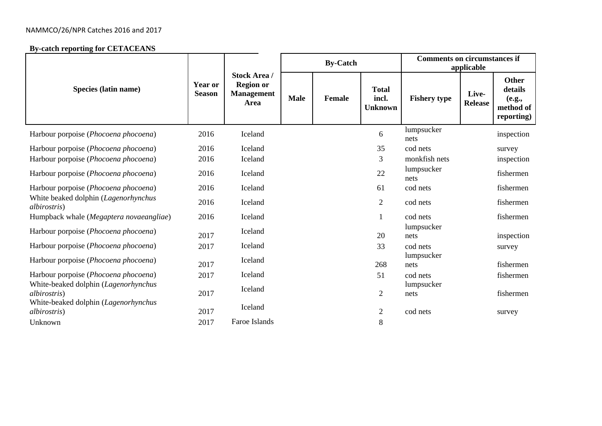### NAMMCO/26/NPR Catches 2016 and 2017

#### **By-catch reporting for CETACEANS**

|                                                              |                          |                                                                             |             | <b>By-Catch</b> |                                         | <b>Comments on circumstances if</b><br>applicable |                         |                                                              |  |
|--------------------------------------------------------------|--------------------------|-----------------------------------------------------------------------------|-------------|-----------------|-----------------------------------------|---------------------------------------------------|-------------------------|--------------------------------------------------------------|--|
| Species (latin name)                                         | Year or<br><b>Season</b> | <b>Stock Area /</b><br><b>Region or</b><br><b>Management</b><br><b>Area</b> | <b>Male</b> | <b>Female</b>   | <b>Total</b><br>incl.<br><b>Unknown</b> | <b>Fishery type</b>                               | Live-<br><b>Release</b> | <b>Other</b><br>details<br>(e.g.,<br>method of<br>reporting) |  |
| Harbour porpoise (Phocoena phocoena)                         | 2016                     | Iceland                                                                     |             |                 | 6                                       | lumpsucker<br>nets                                |                         | inspection                                                   |  |
| Harbour porpoise (Phocoena phocoena)                         | 2016                     | Iceland                                                                     |             |                 | 35                                      | cod nets                                          |                         | survey                                                       |  |
| Harbour porpoise (Phocoena phocoena)                         | 2016                     | Iceland                                                                     |             |                 | 3                                       | monkfish nets                                     |                         | inspection                                                   |  |
| Harbour porpoise (Phocoena phocoena)                         | 2016                     | Iceland                                                                     |             |                 | 22                                      | lumpsucker<br>nets                                |                         | fishermen                                                    |  |
| Harbour porpoise (Phocoena phocoena)                         | 2016                     | Iceland                                                                     |             |                 | 61                                      | cod nets                                          |                         | fishermen                                                    |  |
| White beaked dolphin (Lagenorhynchus<br><i>albirostris</i> ) | 2016                     | Iceland                                                                     |             |                 | $\overline{2}$                          | cod nets                                          |                         | fishermen                                                    |  |
| Humpback whale (Megaptera novaeangliae)                      | 2016                     | Iceland                                                                     |             |                 |                                         | cod nets                                          |                         | fishermen                                                    |  |
| Harbour porpoise (Phocoena phocoena)                         | 2017                     | Iceland                                                                     |             |                 | 20                                      | lumpsucker<br>nets                                |                         | inspection                                                   |  |
| Harbour porpoise (Phocoena phocoena)                         | 2017                     | Iceland                                                                     |             |                 | 33                                      | cod nets                                          |                         | survey                                                       |  |
| Harbour porpoise (Phocoena phocoena)                         | 2017                     | Iceland                                                                     |             |                 | 268                                     | lumpsucker<br>nets                                |                         | fishermen                                                    |  |
| Harbour porpoise (Phocoena phocoena)                         | 2017                     | Iceland                                                                     |             |                 | 51                                      | cod nets                                          |                         | fishermen                                                    |  |
| White-beaked dolphin (Lagenorhynchus<br><i>albirostris</i> ) | 2017                     | Iceland                                                                     |             |                 | $\overline{2}$                          | lumpsucker<br>nets                                |                         | fishermen                                                    |  |
| White-beaked dolphin (Lagenorhynchus<br><i>albirostris</i> ) | 2017                     | Iceland                                                                     |             |                 | $\overline{2}$                          | cod nets                                          |                         | survey                                                       |  |
| Unknown                                                      | 2017                     | Faroe Islands                                                               |             |                 | 8                                       |                                                   |                         |                                                              |  |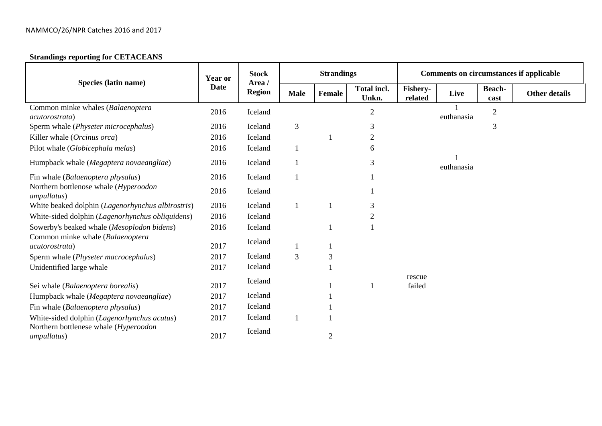## **Strandings reporting for CETACEANS**

|                                                              | Year or | <b>Stock</b>            |             | <b>Strandings</b> |                             | <b>Comments on circumstances if applicable</b> |            |                |                      |  |
|--------------------------------------------------------------|---------|-------------------------|-------------|-------------------|-----------------------------|------------------------------------------------|------------|----------------|----------------------|--|
| Species (latin name)                                         | Date    | Area /<br><b>Region</b> | <b>Male</b> | Female            | <b>Total incl.</b><br>Unkn. | Fishery-<br>related                            | Live       | Beach-<br>cast | <b>Other details</b> |  |
| Common minke whales (Balaenoptera<br><i>acutorostrata</i> )  | 2016    | Iceland                 |             |                   | $\overline{2}$              |                                                | euthanasia | $\mathbf{2}$   |                      |  |
| Sperm whale (Physeter microcephalus)                         | 2016    | Iceland                 | 3           |                   | 3                           |                                                |            | 3              |                      |  |
| Killer whale (Orcinus orca)                                  | 2016    | Iceland                 |             |                   | $\overline{2}$              |                                                |            |                |                      |  |
| Pilot whale (Globicephala melas)                             | 2016    | Iceland                 |             |                   | 6                           |                                                |            |                |                      |  |
| Humpback whale (Megaptera novaeangliae)                      | 2016    | Iceland                 |             |                   | 3                           |                                                | euthanasia |                |                      |  |
| Fin whale (Balaenoptera physalus)                            | 2016    | Iceland                 |             |                   |                             |                                                |            |                |                      |  |
| Northern bottlenose whale (Hyperoodon<br><i>ampullatus</i> ) | 2016    | Iceland                 |             |                   |                             |                                                |            |                |                      |  |
| White beaked dolphin (Lagenorhynchus albirostris)            | 2016    | Iceland                 |             |                   | 3                           |                                                |            |                |                      |  |
| White-sided dolphin (Lagenorhynchus obliquidens)             | 2016    | Iceland                 |             |                   | 2                           |                                                |            |                |                      |  |
| Sowerby's beaked whale (Mesoplodon bidens)                   | 2016    | Iceland                 |             |                   |                             |                                                |            |                |                      |  |
| Common minke whale (Balaenoptera<br><i>acutorostrata</i> )   | 2017    | Iceland                 |             |                   |                             |                                                |            |                |                      |  |
| Sperm whale (Physeter macrocephalus)                         | 2017    | Iceland                 | 3           | $\mathfrak{Z}$    |                             |                                                |            |                |                      |  |
| Unidentified large whale                                     | 2017    | Iceland                 |             |                   |                             |                                                |            |                |                      |  |
| Sei whale (Balaenoptera borealis)                            | 2017    | Iceland                 |             |                   |                             | rescue<br>failed                               |            |                |                      |  |
| Humpback whale (Megaptera novaeangliae)                      | 2017    | Iceland                 |             |                   |                             |                                                |            |                |                      |  |
| Fin whale (Balaenoptera physalus)                            | 2017    | Iceland                 |             |                   |                             |                                                |            |                |                      |  |
| White-sided dolphin (Lagenorhynchus acutus)                  | 2017    | Iceland                 |             |                   |                             |                                                |            |                |                      |  |
| Northern bottlenese whale (Hyperoodon<br><i>ampullatus</i> ) | 2017    | Iceland                 |             | $\overline{2}$    |                             |                                                |            |                |                      |  |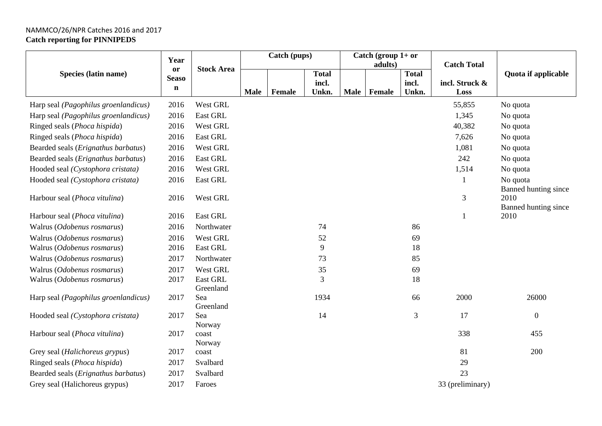## NAMMCO/26/NPR Catches 2016 and 2017 **Catch reporting for PINNIPEDS**

|                                        | Year         |                   | Catch (pups) |        |              |             | Catch (group $1+$ or<br>adults) |              | <b>Catch Total</b> |                              |  |
|----------------------------------------|--------------|-------------------|--------------|--------|--------------|-------------|---------------------------------|--------------|--------------------|------------------------------|--|
| Species (latin name)                   | or           | <b>Stock Area</b> |              |        | <b>Total</b> |             |                                 | <b>Total</b> |                    | Quota if applicable          |  |
|                                        | <b>Seaso</b> |                   |              |        | incl.        |             |                                 | incl.        | incl. Struck &     |                              |  |
|                                        | $\mathbf n$  |                   | <b>Male</b>  | Female | Unkn.        | <b>Male</b> | <b>Female</b>                   | Unkn.        | Loss               |                              |  |
| Harp seal (Pagophilus groenlandicus)   | 2016         | West GRL          |              |        |              |             |                                 |              | 55,855             | No quota                     |  |
| Harp seal (Pagophilus groenlandicus)   | 2016         | East GRL          |              |        |              |             |                                 |              | 1,345              | No quota                     |  |
| Ringed seals ( <i>Phoca hispida</i> )  | 2016         | West GRL          |              |        |              |             |                                 |              | 40,382             | No quota                     |  |
| Ringed seals (Phoca hispida)           | 2016         | East GRL          |              |        |              |             |                                 |              | 7,626              | No quota                     |  |
| Bearded seals (Erignathus barbatus)    | 2016         | West GRL          |              |        |              |             |                                 |              | 1,081              | No quota                     |  |
| Bearded seals (Erignathus barbatus)    | 2016         | East GRL          |              |        |              |             |                                 |              | 242                | No quota                     |  |
| Hooded seal (Cystophora cristata)      | 2016         | West GRL          |              |        |              |             |                                 |              | 1,514              | No quota                     |  |
| Hooded seal (Cystophora cristata)      | 2016         | East GRL          |              |        |              |             |                                 |              |                    | No quota                     |  |
|                                        |              |                   |              |        |              |             |                                 |              |                    | Banned hunting since         |  |
| Harbour seal (Phoca vitulina)          | 2016         | West GRL          |              |        |              |             |                                 |              | $\mathfrak{Z}$     | 2010                         |  |
| Harbour seal ( <i>Phoca vitulina</i> ) | 2016         | East GRL          |              |        |              |             |                                 |              |                    | Banned hunting since<br>2010 |  |
| Walrus (Odobenus rosmarus)             | 2016         | Northwater        |              |        | 74           |             |                                 | 86           |                    |                              |  |
| Walrus (Odobenus rosmarus)             | 2016         | West GRL          |              |        | 52           |             |                                 | 69           |                    |                              |  |
| Walrus (Odobenus rosmarus)             | 2016         | East GRL          |              |        | 9            |             |                                 | 18           |                    |                              |  |
| Walrus (Odobenus rosmarus)             | 2017         | Northwater        |              |        | 73           |             |                                 | 85           |                    |                              |  |
| Walrus (Odobenus rosmarus)             | 2017         | West GRL          |              |        | $35\,$       |             |                                 | 69           |                    |                              |  |
| Walrus (Odobenus rosmarus)             | 2017         | East GRL          |              |        | 3            |             |                                 | 18           |                    |                              |  |
|                                        |              | Greenland         |              |        |              |             |                                 |              |                    |                              |  |
| Harp seal (Pagophilus groenlandicus)   | 2017         | Sea               |              |        | 1934         |             |                                 | 66           | 2000               | 26000                        |  |
|                                        |              | Greenland         |              |        |              |             |                                 |              |                    |                              |  |
| Hooded seal (Cystophora cristata)      | 2017         | Sea<br>Norway     |              |        | 14           |             |                                 | 3            | 17                 | $\mathbf{0}$                 |  |
| Harbour seal (Phoca vitulina)          | 2017         | coast             |              |        |              |             |                                 |              | 338                | 455                          |  |
|                                        |              | Norway            |              |        |              |             |                                 |              |                    |                              |  |
| Grey seal (Halichoreus grypus)         | 2017         | coast             |              |        |              |             |                                 |              | 81                 | 200                          |  |
| Ringed seals (Phoca hispida)           | 2017         | Svalbard          |              |        |              |             |                                 |              | 29                 |                              |  |
| Bearded seals (Erignathus barbatus)    | 2017         | Svalbard          |              |        |              |             |                                 |              | 23                 |                              |  |
| Grey seal (Halichoreus grypus)         | 2017         | Faroes            |              |        |              |             |                                 |              | 33 (preliminary)   |                              |  |